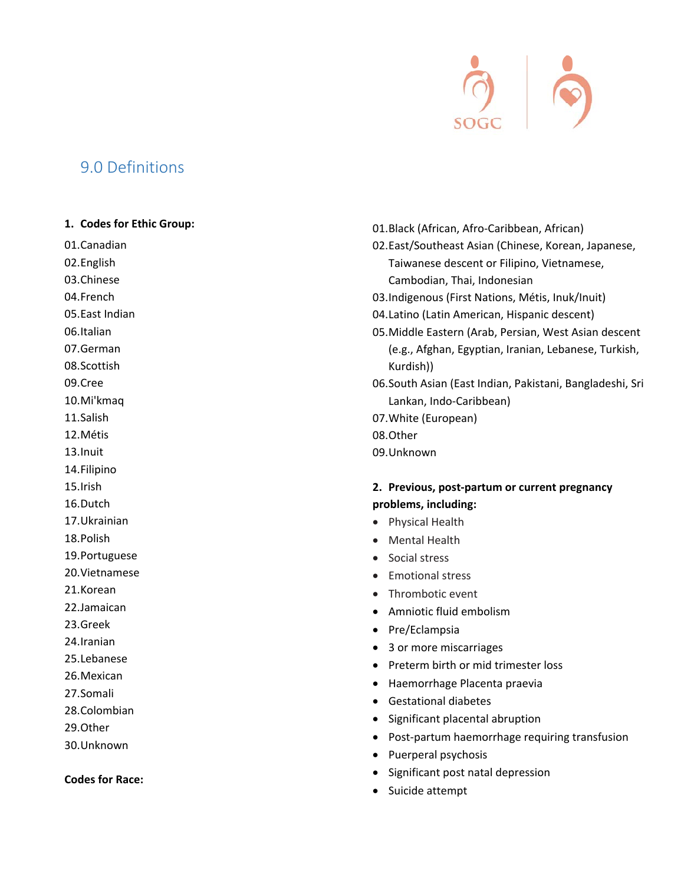

# 9.0 Definitions

#### **1. Codes for Ethic Group:**

01.Canadian

- 02.English
- 03.Chinese
- 04.French

05.East Indian

06.Italian

07.German

08.Scottish

09.Cree

10.Mi'kmaq

11.Salish

12.Métis

13.Inuit

14.Filipino

15.Irish

- 16.Dutch
- 17.Ukrainian

18.Polish

- 19.Portuguese
- 20.Vietnamese
- 21.Korean
- 22.Jamaican
- 23.Greek
- 24.Iranian
- 25.Lebanese
- 26.Mexican
- 27.Somali

28.Colombian

- 29.Other
- 30.Unknown

#### **Codes for Race:**

- 01.Black (African, Afro‐Caribbean, African)
- 02.East/Southeast Asian (Chinese, Korean, Japanese, Taiwanese descent or Filipino, Vietnamese, Cambodian, Thai, Indonesian
- 03.Indigenous (First Nations, Métis, Inuk/Inuit)
- 04.Latino (Latin American, Hispanic descent)
- 05.Middle Eastern (Arab, Persian, West Asian descent (e.g., Afghan, Egyptian, Iranian, Lebanese, Turkish, Kurdish))
- 06.South Asian (East Indian, Pakistani, Bangladeshi, Sri Lankan, Indo‐Caribbean)
- 07.White (European)
- 08.Other
- 09.Unknown

# **2. Previous, post‐partum or current pregnancy problems, including:**

- Physical Health
- Mental Health
- **Social stress**
- Emotional stress
- Thrombotic event
- Amniotic fluid embolism
- Pre/Eclampsia
- 3 or more miscarriages
- Preterm birth or mid trimester loss
- Haemorrhage Placenta praevia
- Gestational diabetes
- Significant placental abruption
- Post-partum haemorrhage requiring transfusion
- Puerperal psychosis
- Significant post natal depression
- Suicide attempt